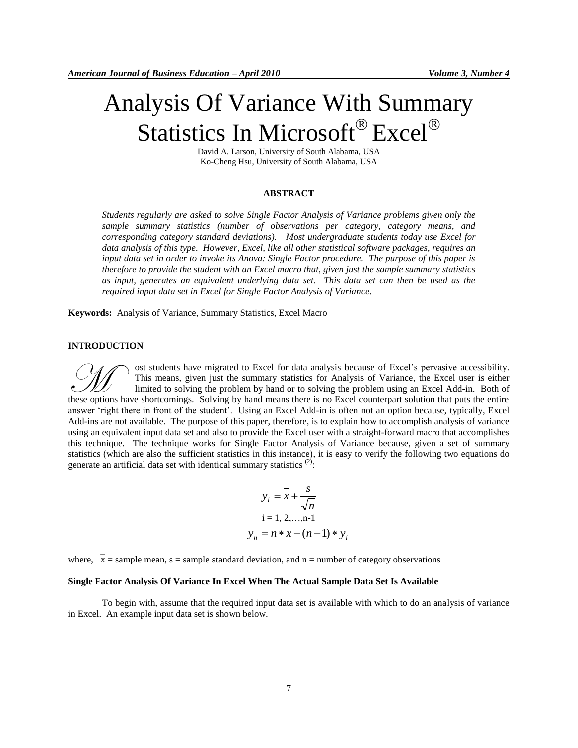# Analysis Of Variance With Summary Statistics In Microsoft® Excel®

David A. Larson, University of South Alabama, USA Ko-Cheng Hsu, University of South Alabama, USA

#### **ABSTRACT**

*Students regularly are asked to solve Single Factor Analysis of Variance problems given only the sample summary statistics (number of observations per category, category means, and corresponding category standard deviations). Most undergraduate students today use Excel for data analysis of this type. However, Excel, like all other statistical software packages, requires an input data set in order to invoke its Anova: Single Factor procedure. The purpose of this paper is therefore to provide the student with an Excel macro that, given just the sample summary statistics as input, generates an equivalent underlying data set. This data set can then be used as the required input data set in Excel for Single Factor Analysis of Variance.*

**Keywords:** Analysis of Variance, Summary Statistics, Excel Macro

## **INTRODUCTION**

ost students have migrated to Excel for data analysis because of Excel"s pervasive accessibility. This means, given just the summary statistics for Analysis of Variance, the Excel user is either limited to solving the problem by hand or to solving the problem using an Excel Add-in. Both of This means, given just the summary statistics for Analysis because of Excel's pervasive accessibility.<br>
This means, given just the summary statistics for Analysis of Variance, the Excel user is either<br>
limited to solving t answer "right there in front of the student". Using an Excel Add-in is often not an option because, typically, Excel Add-ins are not available. The purpose of this paper, therefore, is to explain how to accomplish analysis of variance using an equivalent input data set and also to provide the Excel user with a straight-forward macro that accomplishes this technique. The technique works for Single Factor Analysis of Variance because, given a set of summary statistics (which are also the sufficient statistics in this instance), it is easy to verify the following two equations do generate an artificial data set with identical summary statistics  $(2)$ :

$$
y_i = \overline{x} + \frac{s}{\sqrt{n}}
$$
  
i = 1, 2, ..., n-1  

$$
y_n = n * x - (n-1) * y_i
$$

where,  $x =$  sample mean,  $s =$  sample standard deviation, and  $n =$  number of category observations

### **Single Factor Analysis Of Variance In Excel When The Actual Sample Data Set Is Available**

To begin with, assume that the required input data set is available with which to do an analysis of variance in Excel. An example input data set is shown below.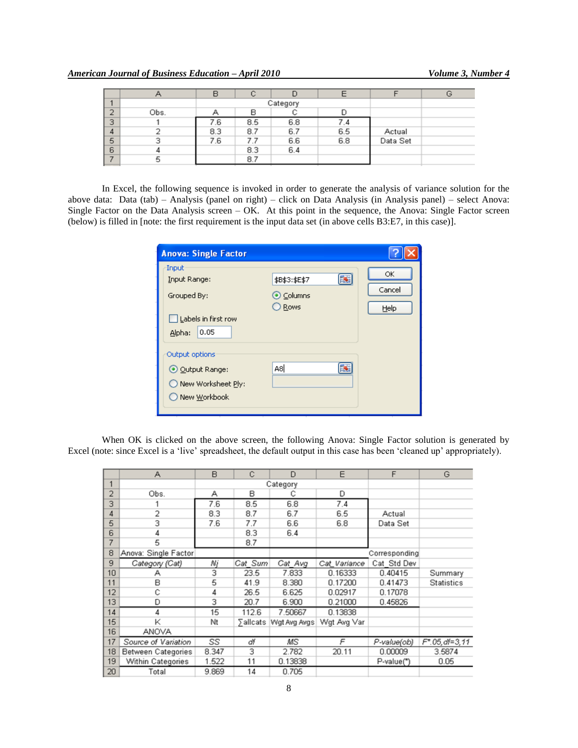|   |      | B   |     |          | E   |          | G |
|---|------|-----|-----|----------|-----|----------|---|
|   |      |     |     | Category |     |          |   |
| G | Obs. |     | в   |          |     |          |   |
| 3 |      | 7.6 | 8.5 | 6.8      |     |          |   |
| 4 |      | 8.3 | 8.7 | 6.7      | 6.5 | Actual   |   |
| 5 |      | 7.6 | 7.7 | 6.6      | 6.8 | Data Set |   |
| 6 |      |     | 8.3 | 6.4      |     |          |   |
|   | ÷.   |     | 8.7 |          |     |          |   |

In Excel, the following sequence is invoked in order to generate the analysis of variance solution for the above data: Data (tab) – Analysis (panel on right) – click on Data Analysis (in Analysis panel) – select Anova: Single Factor on the Data Analysis screen – OK. At this point in the sequence, the Anova: Single Factor screen (below) is filled in [note: the first requirement is the input data set (in above cells B3:E7, in this case)].

| <b>Anova: Single Factor</b>                                                   |                                         |                      |
|-------------------------------------------------------------------------------|-----------------------------------------|----------------------|
| Input<br>Input Range:<br>Grouped By:<br>Labels in first row<br>0.05<br>Alpha: | 国<br>\$B\$3:\$E\$7<br>⊙ Columns<br>Rows | OK<br>Cancel<br>Help |
| Output options<br>⊙ Output Range:<br>New Worksheet Ply:<br>O New Workbook     | A8İ<br>B.                               |                      |

When OK is clicked on the above screen, the following Anova: Single Factor solution is generated by Excel (note: since Excel is a "live" spreadsheet, the default output in this case has been "cleaned up" appropriately).

|                | А                         | B     | C        | D                       | E            | F             | G                 |
|----------------|---------------------------|-------|----------|-------------------------|--------------|---------------|-------------------|
| 1              |                           |       | Category |                         |              |               |                   |
| $\overline{2}$ | Obs.                      | А     | в        | с                       | D            |               |                   |
| 3              |                           | 7.6   | 8.5      | 6.8                     | 7.4          |               |                   |
| 4              | 2                         | 8.3   | 8.7      | 6.7                     | 6.5          | Actual        |                   |
| 5              | 3                         | 7.6   | 7.7      | 6.6                     | 6.8          | Data Set      |                   |
| 6              | 4                         |       | 8.3      | 6.4                     |              |               |                   |
| 7              | 5                         |       | 8.7      |                         |              |               |                   |
| 8              | Anova: Single Factor      |       |          |                         |              | Corresponding |                   |
| 9              | Category (Cat)            | Nij   | Cat Sum  | Cat Avg                 | Cat Variance | Cat Std Dev   |                   |
| 10             | А                         | 3     | 23.5     | 7.833                   | 0.16333      | 0.40415       | Summary           |
| 11             | B                         | 5     | 41.9     | 8.380                   | 0.17200      | 0.41473       | Statistics        |
| 12             | Ĉ                         | 4     | 26.5     | 6.625                   | 0.02917      | 0.17078       |                   |
| 13             | D                         | 3     | 20.7     | 6.900                   | 0.21000      | 0.45826       |                   |
| 14             | 4                         | 15    | 112.6    | 7.50667                 | 0.13838      |               |                   |
| 15             | κ                         | Νt    |          | ∑allcats   Wgt Avg Avgs | Wgt Avg Var  |               |                   |
| 16             | ANOVA                     |       |          |                         |              |               |                   |
| 17             | Source of Variation       | SS    | df       | ΜS                      | F            | P-value(ob)   | $F^*$ .05.df=3.11 |
| 18             | <b>Between Categories</b> | 8.347 | 3        | 2.782                   | 20.11        | 0.00009       | 3.5874            |
| 19             | Within Categories         | 1.522 | 11       | 0.13838                 |              | P-value(*)    | 0.05              |
| 20             | Total                     | 9.869 | 14       | 0.705                   |              |               |                   |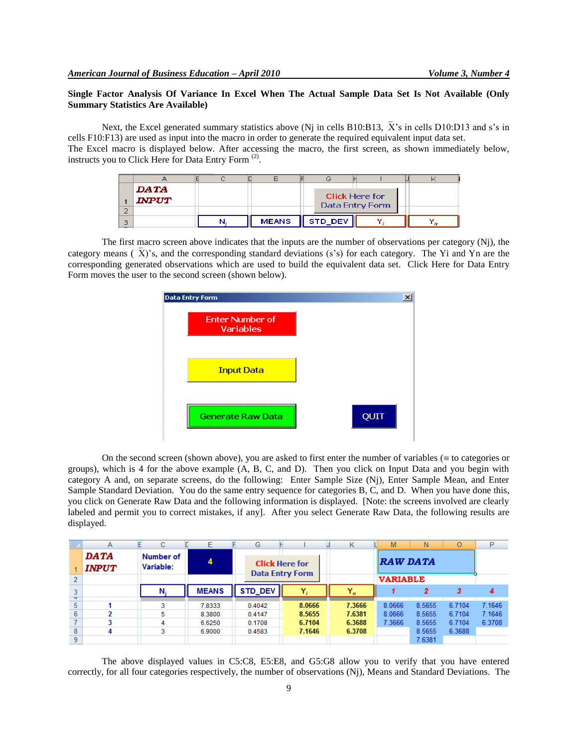# **Single Factor Analysis Of Variance In Excel When The Actual Sample Data Set Is Not Available (Only Summary Statistics Are Available)**

Next, the Excel generated summary statistics above (Ni in cells B10:B13,  $\bar{X}$ 's in cells D10:D13 and s's in cells F10:F13) are used as input into the macro in order to generate the required equivalent input data set. The Excel macro is displayed below. After accessing the macro, the first screen, as shown immediately below, instructs you to Click Here for Data Entry Form<sup>(2)</sup>.

|   |              |              | し       |                                          |  |
|---|--------------|--------------|---------|------------------------------------------|--|
|   | DATA         |              |         |                                          |  |
|   | <b>INPUT</b> |              |         | <b>Click Here for</b><br>Data Entry Form |  |
|   |              |              |         |                                          |  |
| 3 |              | <b>MEANS</b> | STD_DEV |                                          |  |

The first macro screen above indicates that the inputs are the number of observations per category (Nj), the category means ( $\overline{X}$ )'s, and the corresponding standard deviations (s's) for each category. The Yi and Yn are the corresponding generated observations which are used to build the equivalent data set. Click Here for Data Entry Form moves the user to the second screen (shown below).

| Data Entry Form                     |      |
|-------------------------------------|------|
| <b>Enter Number of</b><br>Variables |      |
| <b>Input Data</b>                   |      |
| <b>Generate Raw Data</b>            | QUIT |

On the second screen (shown above), you are asked to first enter the number of variables ( $\equiv$  to categories or groups), which is 4 for the above example (A, B, C, and D). Then you click on Input Data and you begin with category A and, on separate screens, do the following: Enter Sample Size (Nj), Enter Sample Mean, and Enter Sample Standard Deviation. You do the same entry sequence for categories B, C, and D. When you have done this, you click on Generate Raw Data and the following information is displayed. [Note: the screens involved are clearly labeled and permit you to correct mistakes, if any]. After you select Generate Raw Data, the following results are displayed.

|                | Α                           | C                      | Ε            | G                      |                       | κ     |                 | M               | N      | O      | P      |
|----------------|-----------------------------|------------------------|--------------|------------------------|-----------------------|-------|-----------------|-----------------|--------|--------|--------|
|                | <b>DATA</b><br><b>INPUT</b> | Number of<br>Variable: |              |                        | <b>Click Here for</b> |       |                 | <b>RAW DATA</b> |        |        |        |
| $\overline{2}$ |                             |                        |              | <b>Data Entry Form</b> |                       |       | <b>VARIABLE</b> |                 |        |        |        |
| $+$            |                             |                        | <b>MEANS</b> | STD_DEV                | $Y_i$                 | $Y_n$ |                 |                 | 2      | 3      |        |
| 5              |                             | 3                      | 7.8333       | 0.4042                 | 8.0666                |       | 7.3666          | 8.0666          | 8.5655 | 6.7104 | 7.1646 |
| 6              |                             | 5                      | 8.3800       | 0.4147                 | 8.5655                |       | 7.6381          | 8.0666          | 8.5655 | 6.7104 | 7.1646 |
|                |                             | 4                      | 6.6250       | 0.1708                 | 6.7104                |       | 6.3688          | 7.3666          | 8.5655 | 6.7104 | 6.3708 |
| 8              |                             | 3                      | 6.9000       | 0.4583                 | 7.1646                |       | 6.3708          |                 | 8.5655 | 6.3688 |        |
| 9              |                             |                        |              |                        |                       |       |                 |                 | 7.6381 |        |        |

The above displayed values in C5:C8, E5:E8, and G5:G8 allow you to verify that you have entered correctly, for all four categories respectively, the number of observations (Nj), Means and Standard Deviations. The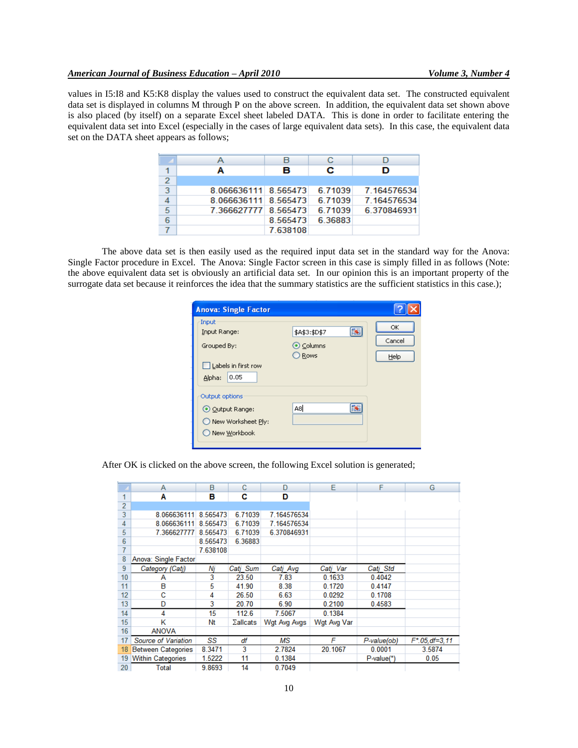values in I5:I8 and K5:K8 display the values used to construct the equivalent data set. The constructed equivalent data set is displayed in columns M through P on the above screen. In addition, the equivalent data set shown above is also placed (by itself) on a separate Excel sheet labeled DATA. This is done in order to facilitate entering the equivalent data set into Excel (especially in the cases of large equivalent data sets). In this case, the equivalent data set on the DATA sheet appears as follows;

|                |                      | в        | с       |             |
|----------------|----------------------|----------|---------|-------------|
|                | A                    | в        | с       | D           |
| $\overline{2}$ |                      |          |         |             |
| 3              | 8.066636111 8.565473 |          | 6.71039 | 7.164576534 |
|                | 8.066636111 8.565473 |          | 6 71039 | 7.164576534 |
| 5              | 7 366627777 8 565473 |          | 6.71039 | 6.370846931 |
| 6              |                      | 8.565473 | 6.36883 |             |
|                |                      | 7 638108 |         |             |

The above data set is then easily used as the required input data set in the standard way for the Anova: Single Factor procedure in Excel. The Anova: Single Factor screen in this case is simply filled in as follows (Note: the above equivalent data set is obviously an artificial data set. In our opinion this is an important property of the surrogate data set because it reinforces the idea that the summary statistics are the sufficient statistics in this case.);

| <b>Anova: Single Factor</b>                                                   |                                         |                      |
|-------------------------------------------------------------------------------|-----------------------------------------|----------------------|
| Input<br>Input Range:<br>Grouped By:<br>Labels in first row<br>0.05<br>Alpha: | 国<br>\$A\$3:\$D\$7<br>⊙ Columns<br>Rows | OK<br>Cancel<br>Help |
| Output options<br>⊙ Output Range:<br>New Worksheet Ply:<br>O New Workbook     | 眜<br>A8                                 |                      |

After OK is clicked on the above screen, the following Excel solution is generated;

|                 | A                         | B        | C                | D            | Е           | F            | G              |
|-----------------|---------------------------|----------|------------------|--------------|-------------|--------------|----------------|
| 1               | Α                         | в        | с                | D            |             |              |                |
| $\overline{2}$  |                           |          |                  |              |             |              |                |
| 3               | 8.066636111               | 8.565473 | 6.71039          | 7.164576534  |             |              |                |
| 4               | 8.066636111               | 8.565473 | 6.71039          | 7.164576534  |             |              |                |
| 5               | 7.366627777               | 8.565473 | 6.71039          | 6.370846931  |             |              |                |
| $6\phantom{1}6$ |                           | 8.565473 | 6.36883          |              |             |              |                |
| 7               |                           | 7.638108 |                  |              |             |              |                |
| 8               | Anova: Single Factor      |          |                  |              |             |              |                |
| 9               | Category (Cati)           | Ni       | Cati Sum         | Cati Avg     | Cati Var    | Cati Std     |                |
| 10              | А                         | 3        | 23.50            | 7.83         | 0.1633      | 0.4042       |                |
| 11              | B                         | 5        | 41.90            | 8.38         | 0.1720      | 0.4147       |                |
| 12              | C                         | 4        | 26.50            | 6.63         | 0.0292      | 0.1708       |                |
| 13              | D                         | 3        | 20.70            | 6.90         | 0.2100      | 0.4583       |                |
| 14              | 4                         | 15       | 112.6            | 7.5067       | 0.1384      |              |                |
| 15              | K                         | Nt       | $\Sigma$ allcats | Wat Ava Avas | Wgt Avg Var |              |                |
| 16              | <b>ANOVA</b>              |          |                  |              |             |              |                |
| 17              | Source of Variation       | SS       | df               | МS           | F           | P-value(ob)  | F*.05, df=3,11 |
| 18              | <b>Between Categories</b> | 8.3471   | 3                | 2.7824       | 20.1067     | 0.0001       | 3.5874         |
| 19              | <b>Within Categories</b>  | 1.5222   | 11               | 0.1384       |             | $P-value(*)$ | 0.05           |
| 20              | Total                     | 9.8693   | 14               | 0.7049       |             |              |                |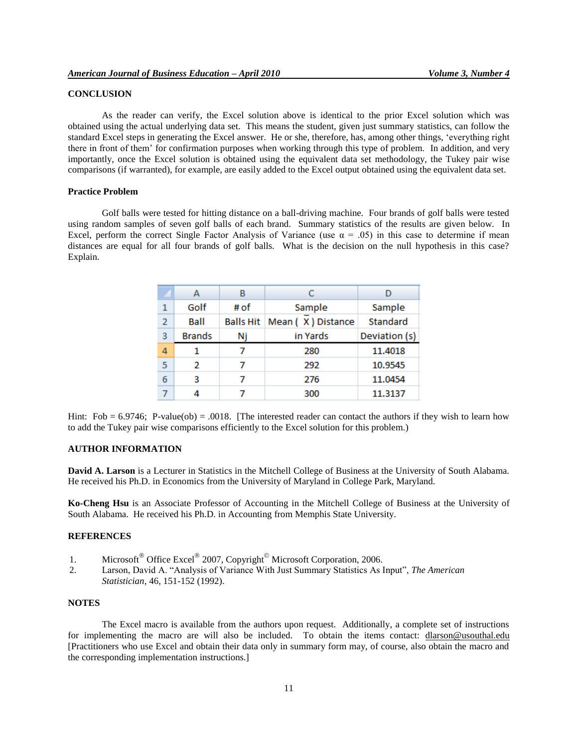## **CONCLUSION**

As the reader can verify, the Excel solution above is identical to the prior Excel solution which was obtained using the actual underlying data set. This means the student, given just summary statistics, can follow the standard Excel steps in generating the Excel answer. He or she, therefore, has, among other things, "everything right there in front of them" for confirmation purposes when working through this type of problem. In addition, and very importantly, once the Excel solution is obtained using the equivalent data set methodology, the Tukey pair wise comparisons (if warranted), for example, are easily added to the Excel output obtained using the equivalent data set.

## **Practice Problem**

Golf balls were tested for hitting distance on a ball-driving machine. Four brands of golf balls were tested using random samples of seven golf balls of each brand. Summary statistics of the results are given below. In Excel, perform the correct Single Factor Analysis of Variance (use  $\alpha = .05$ ) in this case to determine if mean distances are equal for all four brands of golf balls. What is the decision on the null hypothesis in this case? Explain.

|                | А             | В                |                   |               |
|----------------|---------------|------------------|-------------------|---------------|
| 1              | Golf          | # of             | Sample            | Sample        |
| $\overline{2}$ | Ball          | <b>Balls Hit</b> | Mean (X) Distance | Standard      |
| 3              | <b>Brands</b> | Nj               | in Yards          | Deviation (s) |
| 4              |               |                  | 280               | 11,4018       |
| 5              | 2             |                  | 292               | 10.9545       |
| 6              | з             |                  | 276               | 11.0454       |
|                |               |                  | 300               | 11.3137       |

Hint: Fob =  $6.9746$ ; P-value(ob) = .0018. [The interested reader can contact the authors if they wish to learn how to add the Tukey pair wise comparisons efficiently to the Excel solution for this problem.)

#### **AUTHOR INFORMATION**

**David A. Larson** is a Lecturer in Statistics in the Mitchell College of Business at the University of South Alabama. He received his Ph.D. in Economics from the University of Maryland in College Park, Maryland.

**Ko-Cheng Hsu** is an Associate Professor of Accounting in the Mitchell College of Business at the University of South Alabama. He received his Ph.D. in Accounting from Memphis State University.

### **REFERENCES**

- 1. Microsoft<sup>®</sup> Office Excel<sup>®</sup> 2007, Copyright<sup>®</sup> Microsoft Corporation, 2006.
- 2. Larson, David A. "Analysis of Variance With Just Summary Statistics As Input", *The American Statistician*, 46, 151-152 (1992).

## **NOTES**

The Excel macro is available from the authors upon request. Additionally, a complete set of instructions for implementing the macro are will also be included. To obtain the items contact: [dlarson@usouthal.edu](mailto:dlarson@usouthal.edu)  [Practitioners who use Excel and obtain their data only in summary form may, of course, also obtain the macro and the corresponding implementation instructions.]